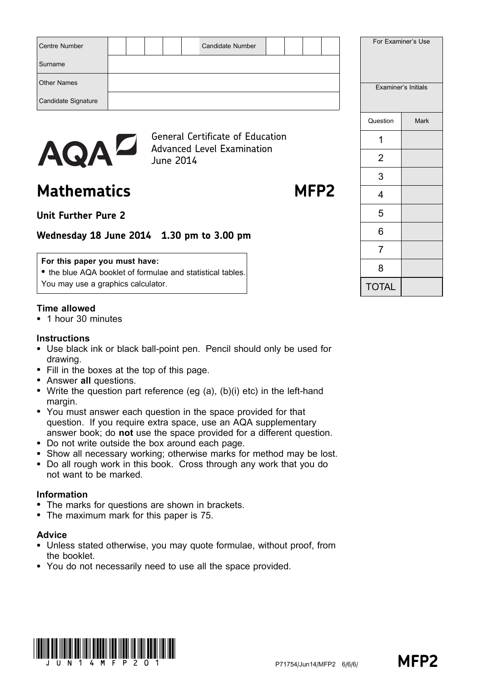| <b>Centre Number</b> |  |  |           | Candidate Number                                                             |  |  |  |                     | For Examiner's Use |
|----------------------|--|--|-----------|------------------------------------------------------------------------------|--|--|--|---------------------|--------------------|
| Surname              |  |  |           |                                                                              |  |  |  |                     |                    |
| <b>Other Names</b>   |  |  |           |                                                                              |  |  |  | Examiner's Initials |                    |
| Candidate Signature  |  |  |           |                                                                              |  |  |  |                     |                    |
|                      |  |  |           |                                                                              |  |  |  | Question            | Mark               |
|                      |  |  |           | <b>General Certificate of Education</b><br><b>Advanced Level Examination</b> |  |  |  |                     |                    |
| <b>AQAL</b>          |  |  | June 2014 |                                                                              |  |  |  | 2                   |                    |

Mathematics MFP2

3

4

5

6

7

8

TOTAL

Unit Further Pure 2

# Wednesday 18 June 2014 1.30 pm to 3.00 pm

### For this paper you must have:

• the blue AQA booklet of formulae and statistical tables. You may use a graphics calculator.

# Time allowed

\* 1 hour 30 minutes

# **Instructions**

- Use black ink or black ball-point pen. Pencil should only be used for drawing.
- Fill in the boxes at the top of this page.
- Answer all questions.
- Write the question part reference (eg  $(a)$ ,  $(b)(i)$  etc) in the left-hand margin.
- You must answer each question in the space provided for that question. If you require extra space, use an AQA supplementary answer book; do not use the space provided for a different question.
- \* Do not write outside the box around each page.
- Show all necessary working; otherwise marks for method may be lost.
- \* Do all rough work in this book. Cross through any work that you do not want to be marked.

# Information

- The marks for questions are shown in brackets.
- \* The maximum mark for this paper is 75.

# Advice

- \* Unless stated otherwise, you may quote formulae, without proof, from the booklet.
- \* You do not necessarily need to use all the space provided.

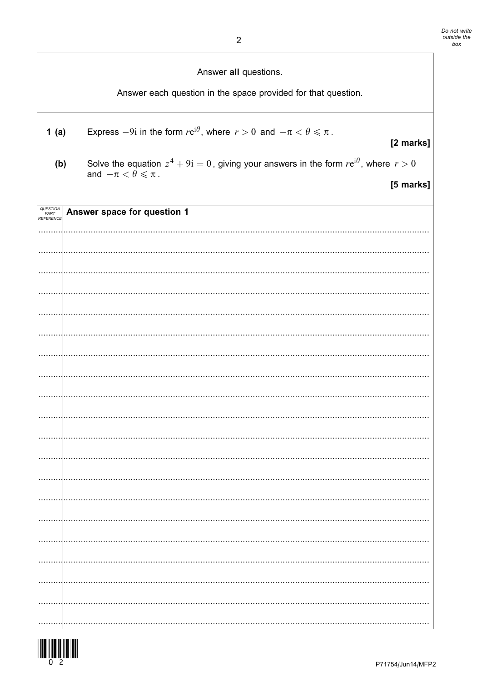|                               | Answer all questions.<br>Answer each question in the space provided for that question.                                                            |
|-------------------------------|---------------------------------------------------------------------------------------------------------------------------------------------------|
| 1(a)                          | Express $-9i$ in the form $re^{i\theta}$ , where $r > 0$ and $-\pi < \theta \le \pi$ .<br>[2 marks]                                               |
| (b)                           | Solve the equation $z^4 + 9i = 0$ , giving your answers in the form $re^{i\theta}$ , where $r > 0$<br>and $-\pi < \theta \leq \pi$ .<br>[5 marks] |
| QUESTION<br>PART<br>REFERENCE | Answer space for question 1                                                                                                                       |
|                               |                                                                                                                                                   |
|                               |                                                                                                                                                   |
|                               |                                                                                                                                                   |
|                               |                                                                                                                                                   |
|                               |                                                                                                                                                   |
|                               |                                                                                                                                                   |
|                               |                                                                                                                                                   |
|                               |                                                                                                                                                   |
|                               |                                                                                                                                                   |
|                               |                                                                                                                                                   |
|                               |                                                                                                                                                   |

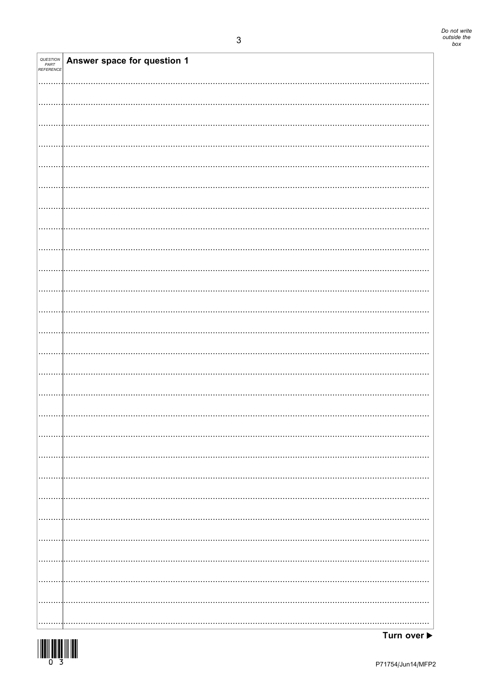| QUESTION<br>PART<br>REFERENCE | Answer space for question 1 |
|-------------------------------|-----------------------------|
|                               |                             |
|                               |                             |
|                               |                             |
|                               |                             |
|                               |                             |
|                               |                             |
|                               |                             |
|                               |                             |
|                               |                             |
|                               |                             |
|                               |                             |
|                               |                             |
|                               |                             |
|                               |                             |
|                               |                             |
|                               |                             |
|                               |                             |
|                               |                             |
|                               |                             |
|                               |                             |
|                               |                             |
|                               |                             |
|                               |                             |
|                               |                             |
|                               |                             |
|                               |                             |
|                               |                             |
|                               |                             |
|                               |                             |
|                               |                             |
|                               |                             |
|                               |                             |
|                               |                             |
|                               |                             |
|                               |                             |
|                               |                             |
|                               |                             |
|                               |                             |
|                               |                             |
|                               |                             |
|                               |                             |
|                               |                             |
|                               |                             |
|                               |                             |
|                               |                             |
|                               |                             |
|                               |                             |
|                               |                             |
|                               |                             |
|                               |                             |
|                               |                             |
|                               |                             |
|                               |                             |
|                               |                             |
|                               |                             |

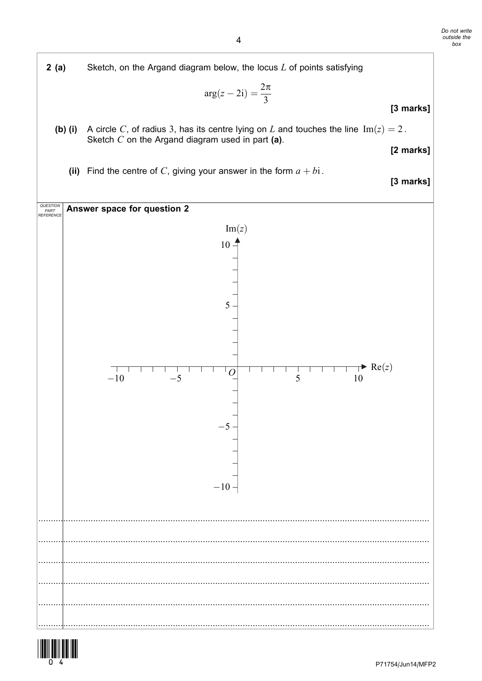



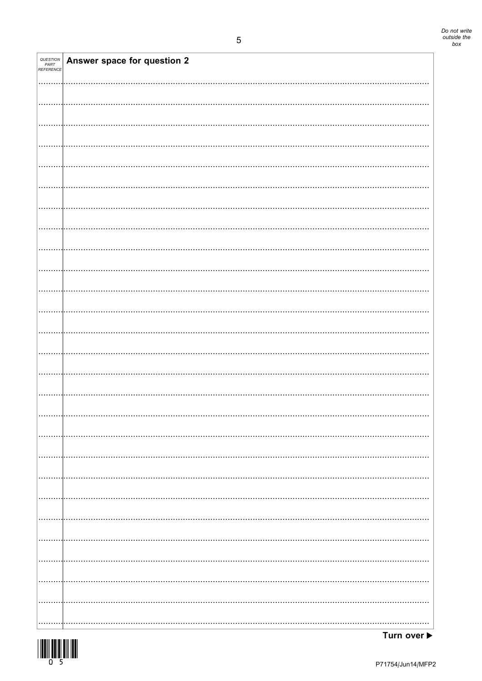| QUESTION<br>PART<br>REFERENCE | Answer space for question 2 |
|-------------------------------|-----------------------------|
|                               |                             |
|                               |                             |
|                               |                             |
|                               |                             |
|                               |                             |
|                               |                             |
|                               |                             |
|                               |                             |
|                               |                             |
|                               |                             |
|                               |                             |
|                               |                             |
|                               |                             |
|                               |                             |
|                               |                             |
|                               |                             |
|                               |                             |
|                               |                             |
|                               |                             |
|                               |                             |
|                               |                             |
|                               |                             |
|                               |                             |
|                               |                             |
|                               |                             |
|                               |                             |
|                               |                             |
|                               |                             |
|                               |                             |
|                               |                             |
|                               |                             |
|                               |                             |
|                               |                             |
|                               |                             |
|                               |                             |
|                               |                             |
|                               |                             |
|                               |                             |
|                               |                             |
|                               |                             |
|                               |                             |
|                               |                             |
|                               |                             |
|                               |                             |
|                               |                             |
|                               |                             |
|                               |                             |
|                               |                             |
|                               |                             |
|                               |                             |

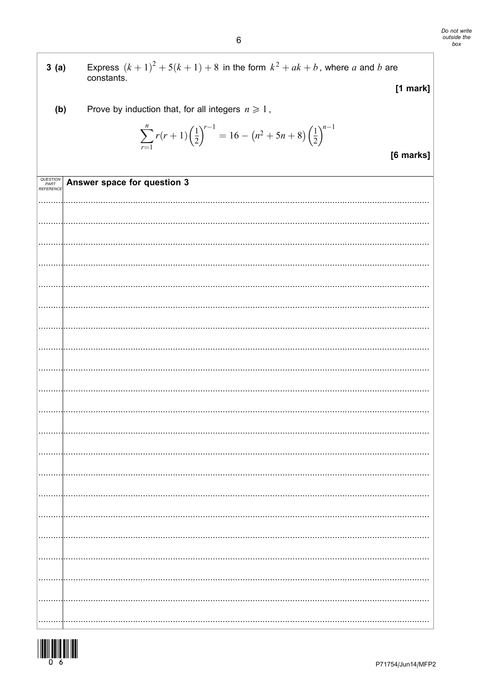| 3(a)                          | Express $(k + 1)^2 + 5(k + 1) + 8$ in the form $k^2 + ak + b$ , where a and b are<br>constants.                        |
|-------------------------------|------------------------------------------------------------------------------------------------------------------------|
|                               | [1 mark]                                                                                                               |
| (b)                           | Prove by induction that, for all integers $n \geq 1$ ,                                                                 |
|                               | $\sum_{r=1}^{n} r(r+1) \left(\frac{1}{2}\right)^{r-1} = 16 - \left(n^2 + 5n + 8\right) \left(\frac{1}{2}\right)^{n-1}$ |
|                               | [6 marks]                                                                                                              |
| QUESTION<br>PART<br>REFERENCE | Answer space for question 3                                                                                            |
|                               |                                                                                                                        |
|                               |                                                                                                                        |
|                               |                                                                                                                        |
|                               |                                                                                                                        |
|                               |                                                                                                                        |
|                               |                                                                                                                        |
|                               |                                                                                                                        |
|                               |                                                                                                                        |
|                               |                                                                                                                        |
|                               |                                                                                                                        |
|                               |                                                                                                                        |
|                               |                                                                                                                        |
|                               |                                                                                                                        |
|                               |                                                                                                                        |
|                               |                                                                                                                        |
|                               |                                                                                                                        |
|                               |                                                                                                                        |
|                               |                                                                                                                        |
|                               |                                                                                                                        |
|                               |                                                                                                                        |
|                               |                                                                                                                        |

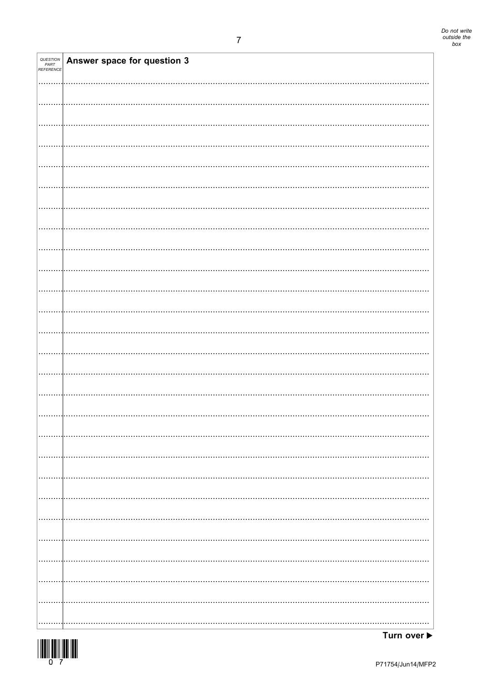| <b>QUESTION<br/>PART<br/>REFERENCE</b> | Answer space for question 3 |
|----------------------------------------|-----------------------------|
|                                        |                             |
|                                        |                             |
|                                        |                             |
|                                        |                             |
|                                        |                             |
|                                        |                             |
|                                        |                             |
|                                        |                             |
|                                        |                             |
|                                        |                             |
|                                        |                             |
|                                        |                             |
|                                        |                             |
|                                        |                             |
|                                        |                             |
|                                        |                             |
|                                        |                             |
|                                        |                             |
|                                        |                             |
|                                        |                             |
|                                        |                             |
|                                        |                             |
|                                        |                             |
|                                        |                             |
|                                        |                             |
| .                                      |                             |

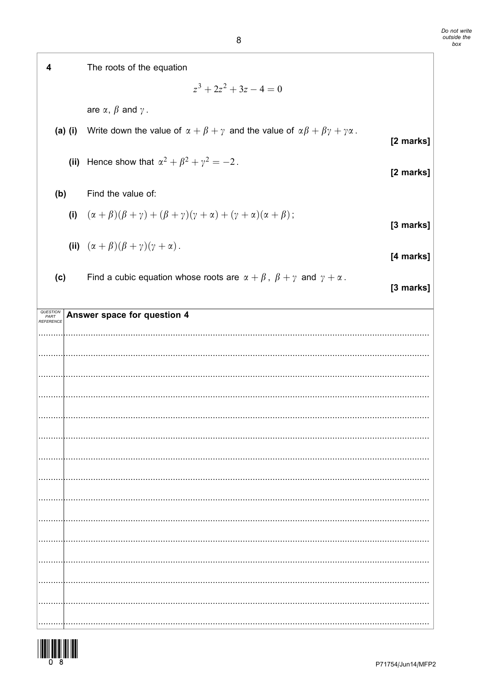| 4                             |           | The roots of the equation                                                                                                    |  |
|-------------------------------|-----------|------------------------------------------------------------------------------------------------------------------------------|--|
|                               |           | $z^3 + 2z^2 + 3z - 4 = 0$                                                                                                    |  |
|                               |           | are $\alpha$ , $\beta$ and $\gamma$ .                                                                                        |  |
|                               | $(a)$ (i) | Write down the value of $\alpha + \beta + \gamma$ and the value of $\alpha\beta + \beta\gamma + \gamma\alpha$ .<br>[2 marks] |  |
|                               |           | (ii) Hence show that $\alpha^2 + \beta^2 + \gamma^2 = -2$ .<br>[2 marks]                                                     |  |
| (b)                           |           | Find the value of:                                                                                                           |  |
|                               |           | (i) $(\alpha + \beta)(\beta + \gamma) + (\beta + \gamma)(\gamma + \alpha) + (\gamma + \alpha)(\alpha + \beta);$<br>[3 marks] |  |
|                               |           | (ii) $(\alpha + \beta)(\beta + \gamma)(\gamma + \alpha)$ .<br>[4 marks]                                                      |  |
| (c)                           |           | Find a cubic equation whose roots are $\alpha + \beta$ , $\beta + \gamma$ and $\gamma + \alpha$ .<br>[3 marks]               |  |
| QUESTION<br>PART<br>REFERENCE |           | Answer space for question 4                                                                                                  |  |
|                               |           |                                                                                                                              |  |
|                               |           |                                                                                                                              |  |
|                               |           |                                                                                                                              |  |
|                               |           |                                                                                                                              |  |
|                               |           |                                                                                                                              |  |
|                               |           |                                                                                                                              |  |
|                               |           |                                                                                                                              |  |
|                               |           |                                                                                                                              |  |
|                               |           |                                                                                                                              |  |
|                               |           |                                                                                                                              |  |
|                               |           |                                                                                                                              |  |
|                               |           |                                                                                                                              |  |
|                               |           |                                                                                                                              |  |
|                               |           |                                                                                                                              |  |

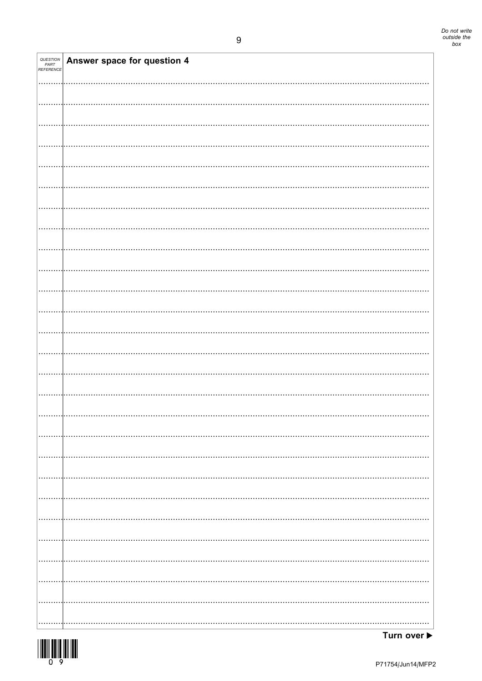| QUESTION<br>PART<br>REFERENCE | Answer space for question 4 |
|-------------------------------|-----------------------------|
|                               |                             |
|                               |                             |
|                               |                             |
|                               |                             |
|                               |                             |
|                               |                             |
|                               |                             |
|                               |                             |
|                               |                             |
|                               |                             |
|                               |                             |
|                               |                             |
|                               |                             |
|                               |                             |
|                               |                             |
|                               |                             |
|                               |                             |
|                               |                             |
|                               |                             |
|                               |                             |
|                               |                             |
|                               |                             |
|                               |                             |
|                               |                             |
|                               |                             |
|                               |                             |
|                               |                             |
|                               |                             |
|                               |                             |
|                               |                             |
|                               |                             |
|                               |                             |
|                               |                             |
|                               |                             |
|                               |                             |
|                               |                             |
|                               |                             |
|                               |                             |
|                               |                             |
|                               |                             |
|                               |                             |
|                               |                             |
|                               |                             |
|                               |                             |
|                               |                             |
|                               |                             |
|                               |                             |
|                               |                             |
|                               |                             |

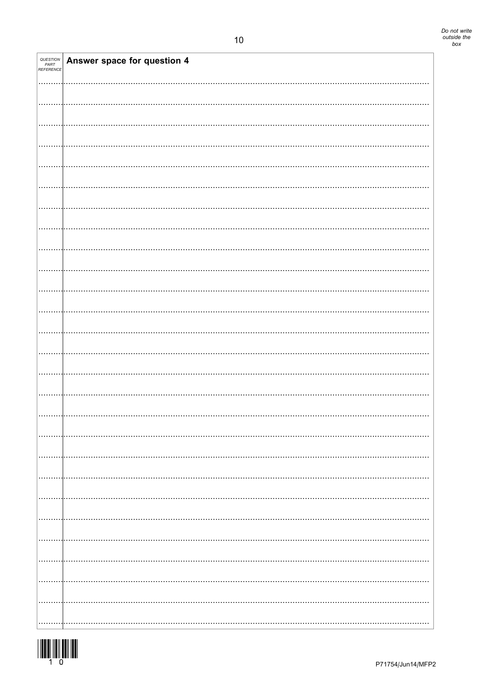| <i>QUESTION<br/>PART<br/>REFERENCE</i> | Answer space for question 4 |
|----------------------------------------|-----------------------------|
|                                        |                             |
|                                        |                             |
|                                        |                             |
|                                        |                             |
|                                        |                             |
|                                        |                             |
|                                        |                             |
|                                        |                             |
|                                        |                             |
|                                        |                             |
|                                        |                             |
|                                        |                             |
|                                        |                             |
|                                        |                             |
|                                        |                             |
|                                        |                             |
|                                        |                             |
|                                        |                             |
|                                        |                             |
|                                        |                             |
|                                        |                             |
|                                        |                             |
|                                        |                             |
|                                        |                             |
|                                        |                             |

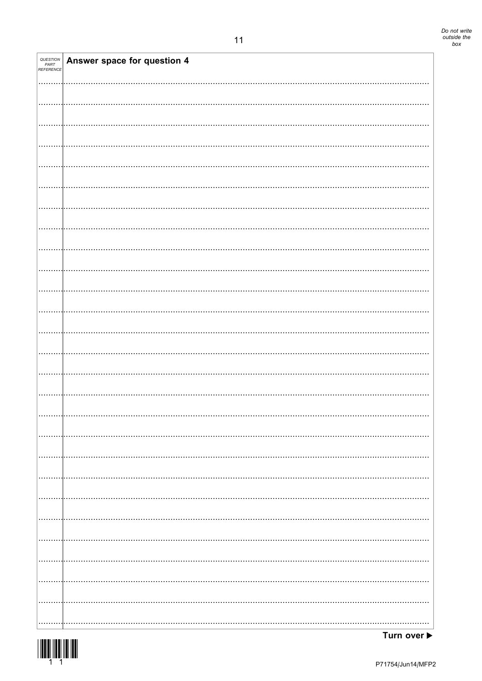| QUESTION<br>PART<br>REFERENCE | Answer space for question 4 |
|-------------------------------|-----------------------------|
|                               |                             |
|                               |                             |
|                               |                             |
|                               |                             |
|                               |                             |
|                               |                             |
|                               |                             |
|                               |                             |
|                               |                             |
|                               |                             |
|                               |                             |
|                               |                             |
|                               |                             |
|                               |                             |
|                               |                             |
|                               |                             |
|                               |                             |
|                               |                             |
|                               |                             |
|                               |                             |
|                               |                             |
|                               |                             |
|                               |                             |
|                               |                             |
|                               |                             |
|                               |                             |
|                               |                             |
|                               |                             |
|                               |                             |
|                               |                             |
|                               |                             |
|                               |                             |



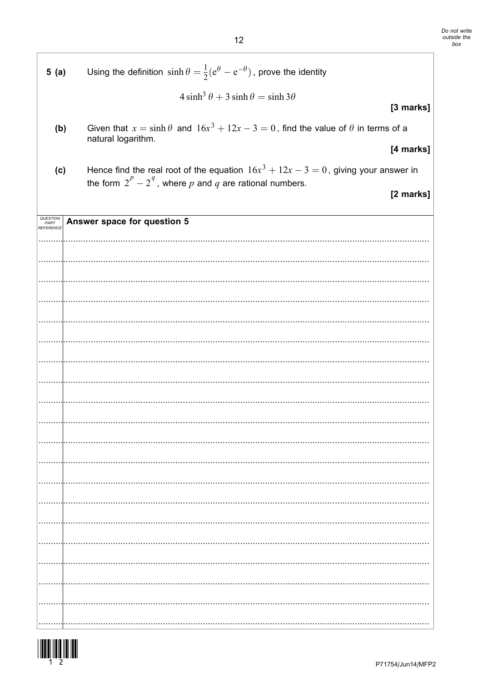| 5(a)              | Using the definition $\sinh \theta = \frac{1}{2}(e^{\theta} - e^{-\theta})$ , prove the identity                                                     |           |
|-------------------|------------------------------------------------------------------------------------------------------------------------------------------------------|-----------|
|                   | $4\sinh^3\theta + 3\sinh\theta = \sinh 3\theta$                                                                                                      |           |
|                   |                                                                                                                                                      | [3 marks] |
| (b)               | Given that $x = \sinh \theta$ and $16x^3 + 12x - 3 = 0$ , find the value of $\theta$ in terms of a<br>natural logarithm.                             |           |
|                   |                                                                                                                                                      | [4 marks] |
| (c)               | Hence find the real root of the equation $16x^3 + 12x - 3 = 0$ , giving your answer in<br>the form $2^p - 2^q$ , where p and q are rational numbers. |           |
|                   |                                                                                                                                                      | [2 marks] |
| QUESTION          | Answer space for question 5                                                                                                                          |           |
| PART<br>REFERENCE |                                                                                                                                                      |           |
|                   |                                                                                                                                                      |           |
|                   |                                                                                                                                                      |           |
|                   |                                                                                                                                                      |           |
|                   |                                                                                                                                                      |           |
|                   |                                                                                                                                                      |           |
|                   |                                                                                                                                                      |           |
|                   |                                                                                                                                                      |           |
|                   |                                                                                                                                                      |           |
|                   |                                                                                                                                                      |           |
|                   |                                                                                                                                                      |           |
|                   |                                                                                                                                                      |           |
|                   |                                                                                                                                                      |           |
|                   |                                                                                                                                                      |           |
|                   |                                                                                                                                                      |           |
|                   |                                                                                                                                                      |           |
|                   |                                                                                                                                                      |           |
|                   |                                                                                                                                                      |           |
|                   |                                                                                                                                                      |           |
|                   |                                                                                                                                                      |           |
|                   |                                                                                                                                                      |           |

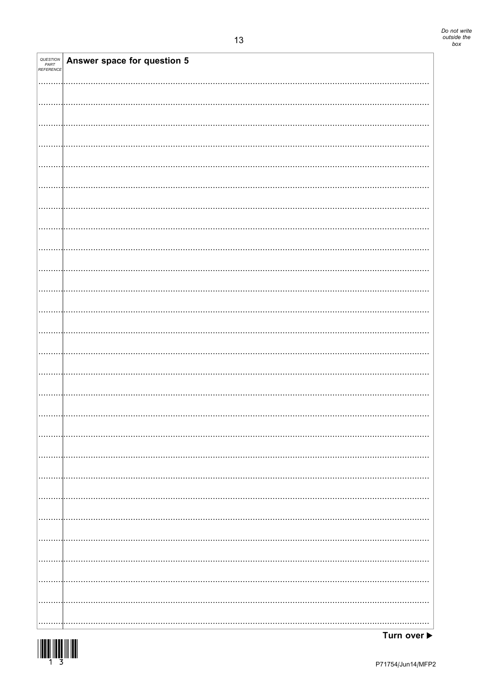| QUESTION <b>Answer space for question 5</b><br>REFERENCE |
|----------------------------------------------------------|
|                                                          |
|                                                          |
|                                                          |
|                                                          |
|                                                          |
|                                                          |
|                                                          |
|                                                          |
|                                                          |
|                                                          |
|                                                          |
|                                                          |
|                                                          |
|                                                          |
|                                                          |
|                                                          |
|                                                          |
|                                                          |
|                                                          |
|                                                          |
|                                                          |
|                                                          |
|                                                          |
|                                                          |
|                                                          |
|                                                          |
|                                                          |
|                                                          |
|                                                          |
|                                                          |
|                                                          |
|                                                          |
|                                                          |



Т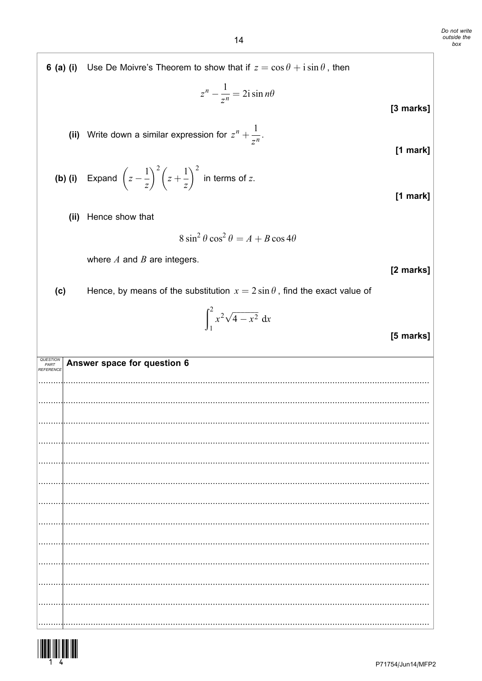|  | <b>6 (a) (i)</b> Use De Moivre's Theorem to show that if $z = \cos \theta + i \sin \theta$ , then |
|--|---------------------------------------------------------------------------------------------------|
|--|---------------------------------------------------------------------------------------------------|

$$
z^n - \frac{1}{z^n} = 2i \sin n\theta
$$

[3 marks]

 $[1$  mark]

 $[1$  mark]

(ii) Write down a similar expression for 
$$
z^n + \frac{1}{z^n}
$$
.

**(b) (i)** Expand 
$$
\left(z - \frac{1}{z}\right)^2 \left(z + \frac{1}{z}\right)^2
$$
 in terms of z.

(ii) Hence show that

$$
8\sin^2\theta\cos^2\theta = A + B\cos 4\theta
$$

where  $A$  and  $B$  are integers.

[2 marks]

[5 marks]

Hence, by means of the substitution  $x = 2 \sin \theta$ , find the exact value of  $(c)$ 

$$
\int_1^2 x^2 \sqrt{4 - x^2} \, \mathrm{d}x
$$

QUESTION<br>PART<br>REFERENCE Answer space for question 6 . . . . . .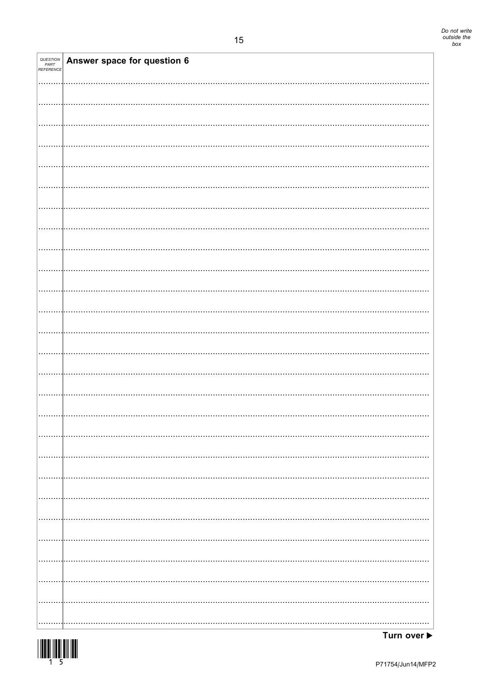| <i>QUESTION<br/>PART<br/>REFERENCE</i> | Answer space for question 6 |
|----------------------------------------|-----------------------------|
|                                        |                             |
|                                        |                             |
|                                        |                             |
|                                        |                             |
|                                        |                             |
|                                        |                             |
|                                        |                             |
|                                        |                             |
|                                        |                             |
|                                        |                             |
|                                        |                             |
|                                        |                             |
|                                        |                             |
|                                        |                             |
|                                        |                             |
|                                        |                             |
|                                        |                             |
|                                        |                             |
|                                        |                             |
|                                        |                             |
|                                        |                             |
|                                        |                             |
|                                        |                             |
|                                        |                             |
|                                        |                             |
|                                        |                             |
|                                        |                             |
|                                        |                             |
|                                        |                             |
|                                        |                             |
|                                        |                             |
|                                        |                             |
|                                        |                             |
|                                        |                             |
|                                        |                             |
|                                        |                             |
|                                        |                             |
|                                        |                             |
|                                        |                             |
|                                        |                             |
|                                        |                             |
|                                        |                             |
|                                        |                             |
|                                        |                             |
|                                        |                             |
|                                        |                             |
|                                        |                             |
|                                        |                             |
|                                        |                             |
|                                        |                             |
|                                        |                             |
|                                        |                             |
|                                        |                             |
|                                        |                             |
|                                        |                             |
|                                        |                             |
|                                        |                             |
|                                        |                             |
|                                        |                             |

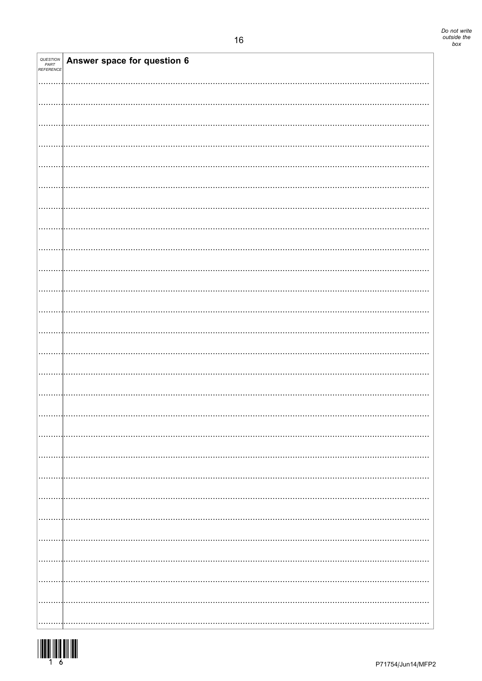| QUESTION<br>PART<br>REFERENCE | Answer space for question 6 |
|-------------------------------|-----------------------------|
|                               |                             |
|                               |                             |
|                               |                             |
|                               |                             |
|                               |                             |
|                               |                             |
|                               |                             |
|                               |                             |
|                               |                             |
|                               |                             |
|                               |                             |
|                               |                             |
|                               |                             |
|                               |                             |
|                               |                             |
|                               |                             |
|                               |                             |
|                               |                             |
|                               |                             |
|                               |                             |
|                               |                             |
|                               |                             |
|                               |                             |
|                               |                             |

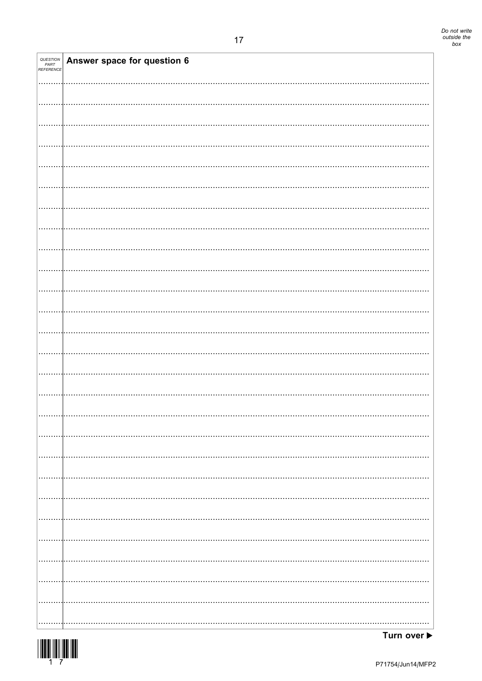| <i>QUESTION<br/>PART<br/>REFERENCE</i> | Answer space for question 6 |
|----------------------------------------|-----------------------------|
|                                        |                             |
|                                        |                             |
|                                        |                             |
|                                        |                             |
|                                        |                             |
|                                        |                             |
|                                        |                             |
|                                        |                             |
|                                        |                             |
|                                        |                             |
|                                        |                             |
|                                        |                             |
|                                        |                             |
|                                        |                             |
|                                        |                             |
|                                        |                             |
|                                        |                             |
|                                        |                             |
|                                        |                             |
|                                        |                             |
|                                        |                             |
|                                        |                             |
|                                        |                             |
|                                        |                             |
|                                        |                             |
|                                        |                             |
|                                        |                             |
|                                        |                             |
|                                        |                             |
|                                        |                             |
|                                        |                             |
|                                        |                             |
|                                        |                             |
|                                        |                             |
|                                        |                             |
|                                        |                             |
|                                        |                             |
|                                        |                             |
|                                        |                             |
|                                        |                             |
|                                        |                             |
|                                        |                             |
|                                        |                             |
|                                        |                             |
|                                        |                             |
|                                        |                             |
|                                        |                             |
|                                        |                             |
|                                        |                             |
|                                        |                             |
|                                        |                             |
|                                        |                             |
|                                        |                             |
|                                        |                             |
|                                        |                             |

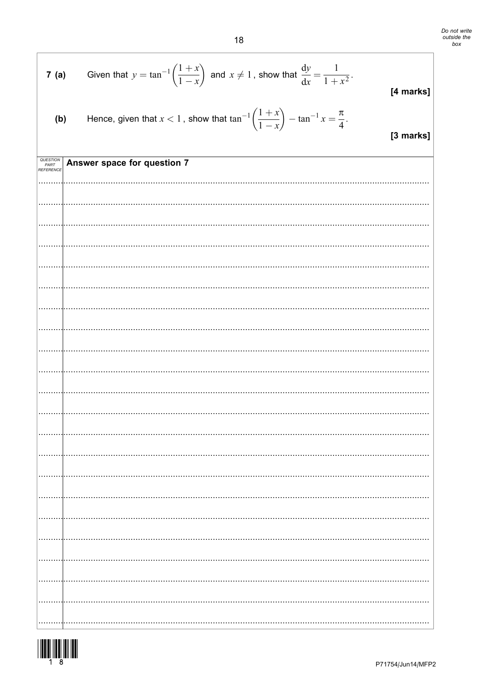Do not write<br>outside the<br>box

|     | <b>7 (a)</b> Given that $y = \tan^{-1}\left(\frac{1+x}{1-x}\right)$ and $x \neq 1$ , show that $\frac{dy}{dx} = \frac{1}{1+x^2}$ . | [4 marks]      |
|-----|------------------------------------------------------------------------------------------------------------------------------------|----------------|
| (b) | Hence, given that $x < 1$ , show that $\tan^{-1}\left(\frac{1+x}{1-x}\right) - \tan^{-1} x = \frac{\pi}{4}$ .                      | $12 \text{ m}$ |

[3 marks]

| QUESTION<br>PART<br>REFERENCE | Answer space for question 7 |
|-------------------------------|-----------------------------|
|                               |                             |
|                               |                             |
|                               |                             |
|                               |                             |
|                               |                             |
|                               |                             |
|                               |                             |
|                               |                             |
|                               |                             |
|                               |                             |
|                               |                             |
|                               |                             |
|                               |                             |
|                               |                             |
|                               |                             |
|                               |                             |
|                               |                             |
|                               | .                           |
|                               |                             |
|                               |                             |
| .                             |                             |
|                               |                             |

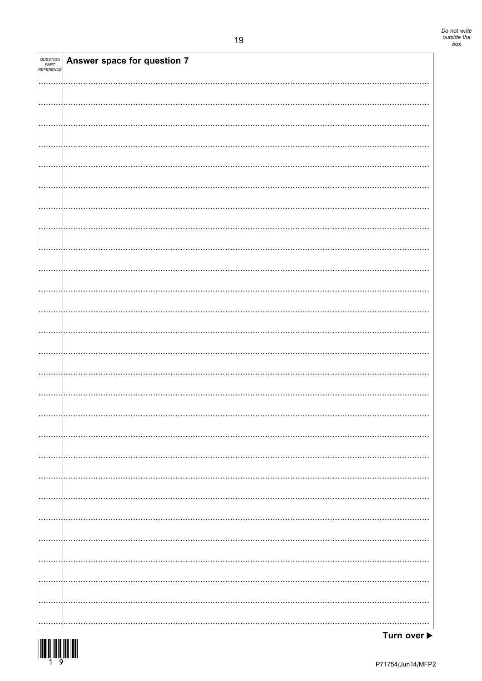| <i>QUESTION<br/>PART<br/>REFERENCE</i> | <b>Answer space for question 7</b> |
|----------------------------------------|------------------------------------|
|                                        |                                    |
|                                        |                                    |
|                                        |                                    |
|                                        |                                    |
|                                        |                                    |
|                                        |                                    |
|                                        |                                    |
|                                        |                                    |
|                                        |                                    |
|                                        |                                    |
|                                        |                                    |
|                                        |                                    |
|                                        |                                    |
|                                        |                                    |
|                                        |                                    |
|                                        |                                    |
|                                        |                                    |
|                                        |                                    |
|                                        |                                    |
|                                        |                                    |
|                                        |                                    |
|                                        |                                    |
|                                        |                                    |
|                                        |                                    |
|                                        |                                    |
|                                        |                                    |
|                                        |                                    |
|                                        |                                    |
|                                        |                                    |
|                                        |                                    |
|                                        |                                    |
|                                        |                                    |
|                                        |                                    |
|                                        |                                    |
|                                        |                                    |
|                                        |                                    |



ℸ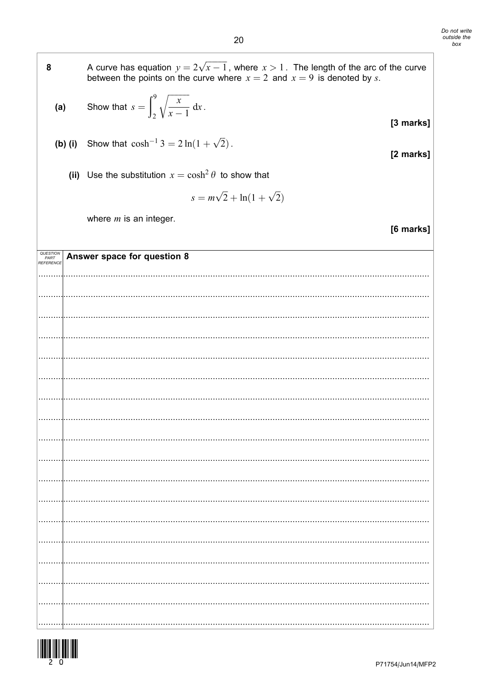A curve has equation  $y = 2\sqrt{x-1}$ , where  $x > 1$ . The length of the arc of the curve between the points on the curve where  $x = 2$  and  $x = 9$  is denoted by s.

(a) Show that 
$$
s = \int_2^9 \sqrt{\frac{x}{x-1}} dx
$$
.

8

**(b) (i)** Show that 
$$
\cosh^{-1} 3 = 2 \ln(1 + \sqrt{2})
$$
.

(ii) Use the substitution  $x = \cosh^2 \theta$  to show that

$$
s = m\sqrt{2} + \ln(1 + \sqrt{2})
$$

where  $m$  is an integer.

QUESTION<br>PART<br>REFERENCI Answer space for question 8 

[2 marks]

[6 marks]

[3 marks]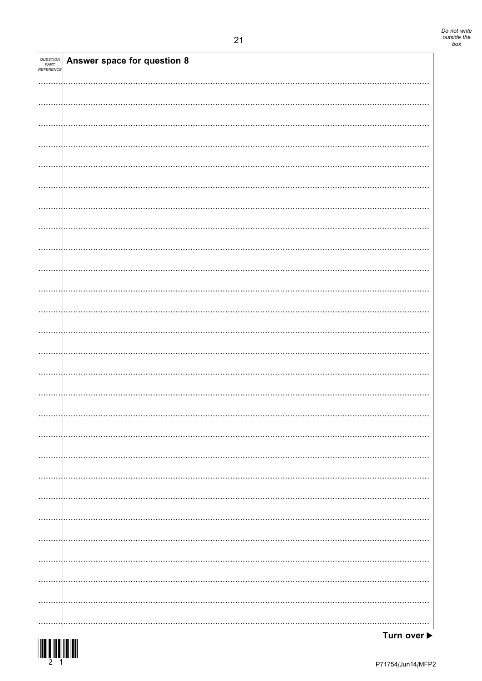| <i>QUESTION<br/>PART<br/>REFERENCE</i> | Answer space for question 8 |
|----------------------------------------|-----------------------------|
|                                        |                             |
|                                        |                             |
|                                        |                             |
|                                        |                             |
|                                        |                             |
|                                        |                             |
|                                        |                             |
|                                        |                             |
|                                        |                             |
|                                        |                             |
|                                        |                             |
|                                        |                             |
|                                        |                             |
|                                        |                             |
|                                        |                             |
|                                        |                             |
|                                        |                             |
|                                        |                             |
|                                        |                             |
|                                        |                             |
|                                        |                             |
|                                        |                             |
|                                        |                             |
|                                        |                             |
|                                        |                             |
|                                        |                             |
|                                        |                             |



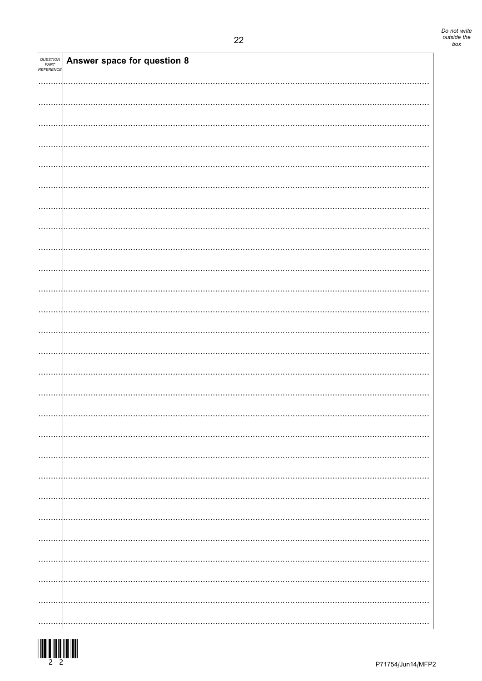| <b>QUESTION<br/>PART<br/>REFERENCE</b> | Answer space for question 8 |
|----------------------------------------|-----------------------------|
|                                        |                             |
|                                        |                             |
|                                        |                             |
|                                        |                             |
|                                        |                             |
|                                        |                             |
|                                        |                             |
|                                        |                             |
|                                        |                             |
|                                        |                             |
|                                        |                             |
|                                        |                             |
|                                        |                             |
|                                        |                             |
|                                        |                             |
|                                        |                             |
|                                        |                             |
|                                        |                             |
|                                        |                             |
|                                        |                             |
|                                        |                             |
|                                        |                             |
|                                        | .                           |
|                                        |                             |
|                                        |                             |
|                                        |                             |

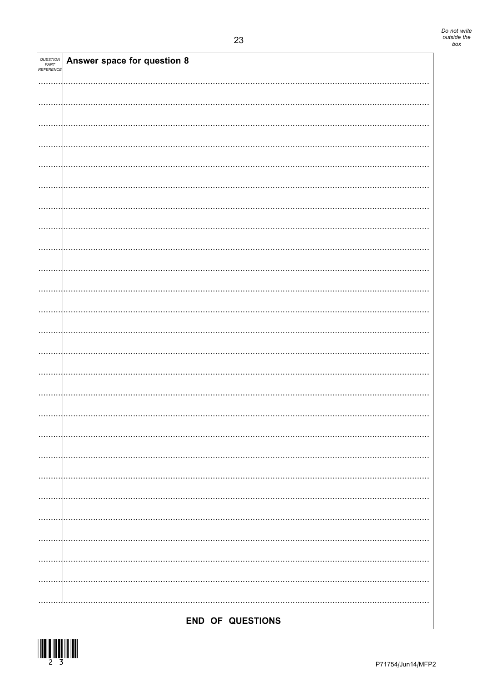